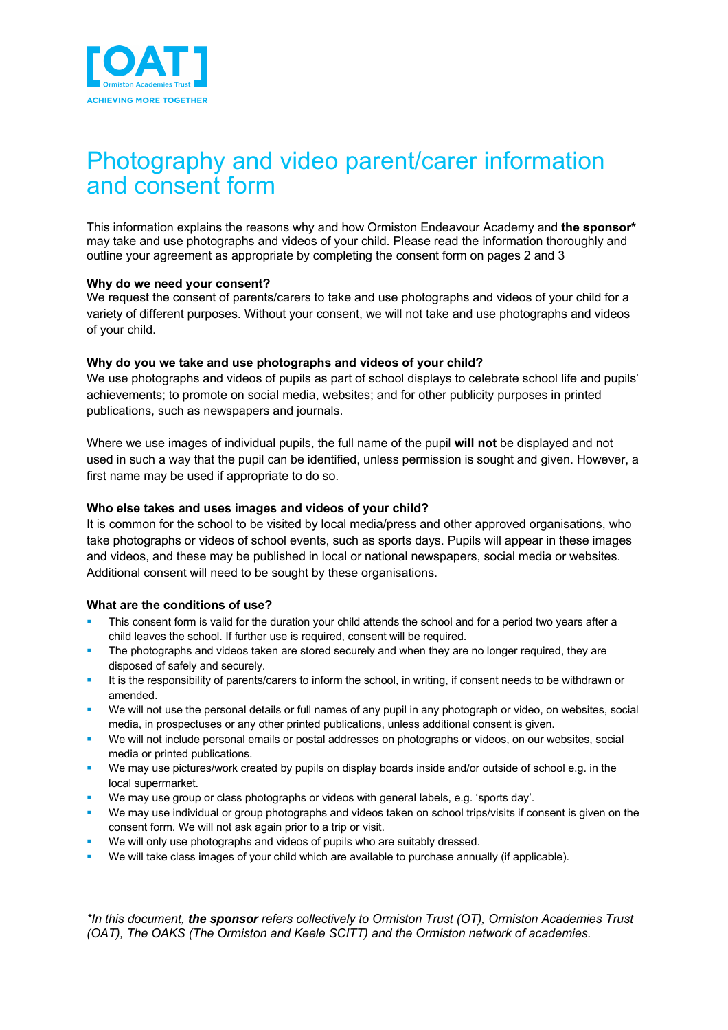

# Photography and video parent/carer information and consent form

This information explains the reasons why and how Ormiston Endeavour Academy and **the sponsor\*** may take and use photographs and videos of your child. Please read the information thoroughly and outline your agreement as appropriate by completing the consent form on pages 2 and 3

## **Why do we need your consent?**

We request the consent of parents/carers to take and use photographs and videos of your child for a variety of different purposes. Without your consent, we will not take and use photographs and videos of your child.

## **Why do you we take and use photographs and videos of your child?**

We use photographs and videos of pupils as part of school displays to celebrate school life and pupils' achievements; to promote on social media, websites; and for other publicity purposes in printed publications, such as newspapers and journals.

Where we use images of individual pupils, the full name of the pupil **will not** be displayed and not used in such a way that the pupil can be identified, unless permission is sought and given. However, a first name may be used if appropriate to do so.

## **Who else takes and uses images and videos of your child?**

It is common for the school to be visited by local media/press and other approved organisations, who take photographs or videos of school events, such as sports days. Pupils will appear in these images and videos, and these may be published in local or national newspapers, social media or websites. Additional consent will need to be sought by these organisations.

#### **What are the conditions of use?**

- This consent form is valid for the duration your child attends the school and for a period two years after a child leaves the school. If further use is required, consent will be required.
- The photographs and videos taken are stored securely and when they are no longer required, they are disposed of safely and securely.
- It is the responsibility of parents/carers to inform the school, in writing, if consent needs to be withdrawn or amended.
- We will not use the personal details or full names of any pupil in any photograph or video, on websites, social media, in prospectuses or any other printed publications, unless additional consent is given.
- We will not include personal emails or postal addresses on photographs or videos, on our websites, social media or printed publications.
- § We may use pictures/work created by pupils on display boards inside and/or outside of school e.g. in the local supermarket.
- We may use group or class photographs or videos with general labels, e.g. 'sports day'.
- We may use individual or group photographs and videos taken on school trips/visits if consent is given on the consent form. We will not ask again prior to a trip or visit.
- We will only use photographs and videos of pupils who are suitably dressed.
- We will take class images of your child which are available to purchase annually (if applicable).

*\*In this document, the sponsor refers collectively to Ormiston Trust (OT), Ormiston Academies Trust (OAT), The OAKS (The Ormiston and Keele SCITT) and the Ormiston network of academies.*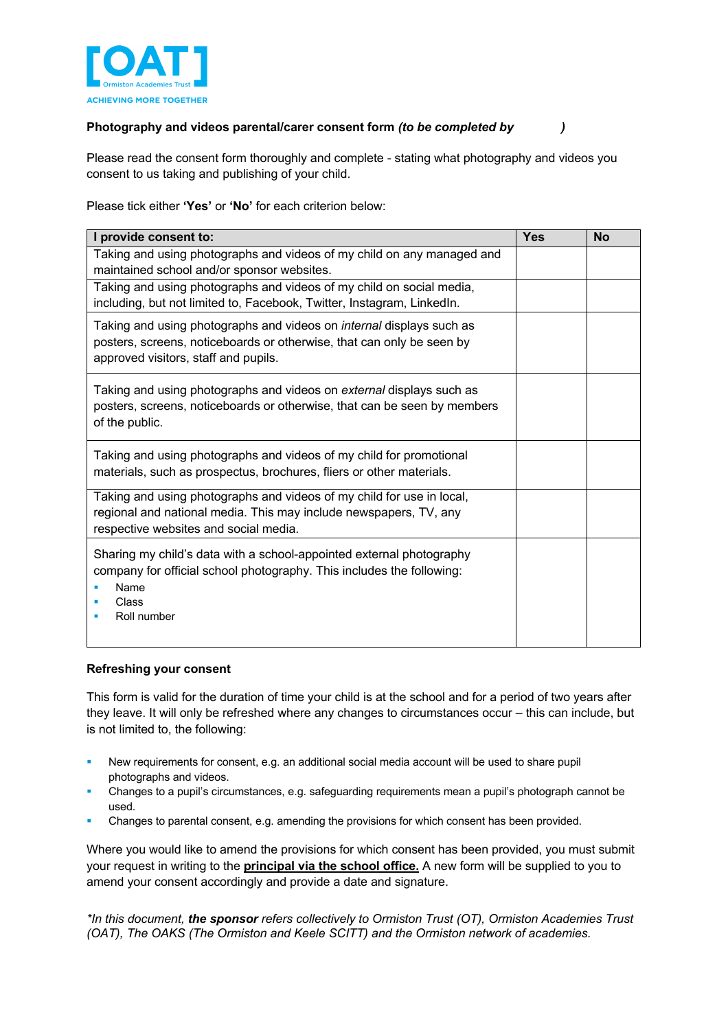

# **Photography and videos parental/carer consent form** *(to be completed by )*

Please read the consent form thoroughly and complete - stating what photography and videos you consent to us taking and publishing of your child.

Please tick either **'Yes'** or **'No'** for each criterion below:

| I provide consent to:                                                                                                                                                                        | <b>Yes</b> | <b>No</b> |
|----------------------------------------------------------------------------------------------------------------------------------------------------------------------------------------------|------------|-----------|
| Taking and using photographs and videos of my child on any managed and<br>maintained school and/or sponsor websites.                                                                         |            |           |
| Taking and using photographs and videos of my child on social media,<br>including, but not limited to, Facebook, Twitter, Instagram, LinkedIn.                                               |            |           |
| Taking and using photographs and videos on <i>internal</i> displays such as<br>posters, screens, noticeboards or otherwise, that can only be seen by<br>approved visitors, staff and pupils. |            |           |
| Taking and using photographs and videos on external displays such as<br>posters, screens, noticeboards or otherwise, that can be seen by members<br>of the public.                           |            |           |
| Taking and using photographs and videos of my child for promotional<br>materials, such as prospectus, brochures, fliers or other materials.                                                  |            |           |
| Taking and using photographs and videos of my child for use in local,<br>regional and national media. This may include newspapers, TV, any<br>respective websites and social media.          |            |           |
| Sharing my child's data with a school-appointed external photography<br>company for official school photography. This includes the following:<br>Name<br>Class<br>Roll number                |            |           |

## **Refreshing your consent**

This form is valid for the duration of time your child is at the school and for a period of two years after they leave. It will only be refreshed where any changes to circumstances occur – this can include, but is not limited to, the following:

- New requirements for consent, e.g. an additional social media account will be used to share pupil photographs and videos.
- § Changes to a pupil's circumstances, e.g. safeguarding requirements mean a pupil's photograph cannot be used.
- Changes to parental consent, e.g. amending the provisions for which consent has been provided.

Where you would like to amend the provisions for which consent has been provided, you must submit your request in writing to the **principal via the school office.** A new form will be supplied to you to amend your consent accordingly and provide a date and signature.

*\*In this document, the sponsor refers collectively to Ormiston Trust (OT), Ormiston Academies Trust (OAT), The OAKS (The Ormiston and Keele SCITT) and the Ormiston network of academies.*